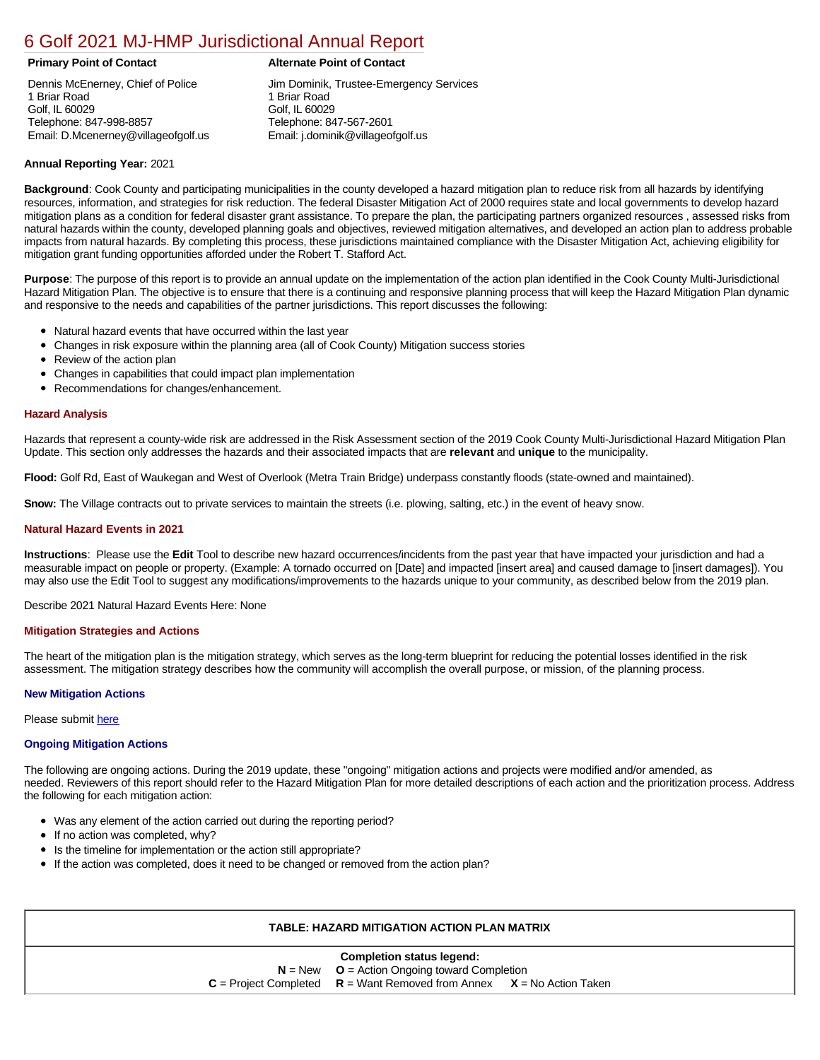# [6 Golf 2021 MJ-HMP Jurisdictional Annual Report](https://golf.isc-cemp.com/Cemp/Details?id=8322786)

Dennis McEnerney, Chief of Police 1 Briar Road Golf, IL 60029 Telephone: 847-998-8857 Email: D.Mcenerney@villageofgolf.us

# **Primary Point of Contact Alternate Point of Contact**

Jim Dominik, Trustee-Emergency Services 1 Briar Road Golf, IL 60029 Telephone: 847-567-2601 Email: j.dominik@villageofgolf.us

# **Annual Reporting Year:** 2021

**Background**: Cook County and participating municipalities in the county developed a hazard mitigation plan to reduce risk from all hazards by identifying resources, information, and strategies for risk reduction. The federal Disaster Mitigation Act of 2000 requires state and local governments to develop hazard mitigation plans as a condition for federal disaster grant assistance. To prepare the plan, the participating partners organized resources , assessed risks from natural hazards within the county, developed planning goals and objectives, reviewed mitigation alternatives, and developed an action plan to address probable impacts from natural hazards. By completing this process, these jurisdictions maintained compliance with the Disaster Mitigation Act, achieving eligibility for mitigation grant funding opportunities afforded under the Robert T. Stafford Act.

**Purpose**: The purpose of this report is to provide an annual update on the implementation of the action plan identified in the Cook County Multi-Jurisdictional Hazard Mitigation Plan. The objective is to ensure that there is a continuing and responsive planning process that will keep the Hazard Mitigation Plan dynamic and responsive to the needs and capabilities of the partner jurisdictions. This report discusses the following:

- Natural hazard events that have occurred within the last year
- $\bullet$ Changes in risk exposure within the planning area (all of Cook County) Mitigation success stories
- Review of the action plan  $\bullet$
- $\bullet$ Changes in capabilities that could impact plan implementation
- Recommendations for changes/enhancement.  $\bullet$

### **Hazard Analysis**

Hazards that represent a county-wide risk are addressed in the Risk Assessment section of the 2019 Cook County Multi-Jurisdictional Hazard Mitigation Plan Update. This section only addresses the hazards and their associated impacts that are **relevant** and **unique** to the municipality.

**Flood:** Golf Rd, East of Waukegan and West of Overlook (Metra Train Bridge) underpass constantly floods (state-owned and maintained).

**Snow:** The Village contracts out to private services to maintain the streets (i.e. plowing, salting, etc.) in the event of heavy snow.

#### **Natural Hazard Events in 2021**

**Instructions**: Please use the **Edit** Tool to describe new hazard occurrences/incidents from the past year that have impacted your jurisdiction and had a measurable impact on people or property. (Example: A tornado occurred on [Date] and impacted [insert area] and caused damage to [insert damages]). You may also use the Edit Tool to suggest any modifications/improvements to the hazards unique to your community, as described below from the 2019 plan.

Describe 2021 Natural Hazard Events Here: None

#### **Mitigation Strategies and Actions**

The heart of the mitigation plan is the mitigation strategy, which serves as the long-term blueprint for reducing the potential losses identified in the risk assessment. The mitigation strategy describes how the community will accomplish the overall purpose, or mission, of the planning process.

# **New Mitigation Actions**

Please submit [here](https://integratedsolutions.wufoo.com/forms/mg21jvf0jn639o/)

# **Ongoing Mitigation Actions**

The following are ongoing actions. During the 2019 update, these "ongoing" mitigation actions and projects were modified and/or amended, as needed. Reviewers of this report should refer to the Hazard Mitigation Plan for more detailed descriptions of each action and the prioritization process. Address the following for each mitigation action:

- Was any element of the action carried out during the reporting period?
- $\bullet$ If no action was completed, why?
- Is the timeline for implementation or the action still appropriate?
- If the action was completed, does it need to be changed or removed from the action plan?

# **TABLE: HAZARD MITIGATION ACTION PLAN MATRIX**

#### **Completion status legend:**

**N** = New **O** = Action Ongoing toward Completion  $C =$  Project Completed  $R =$  Want Removed from Annex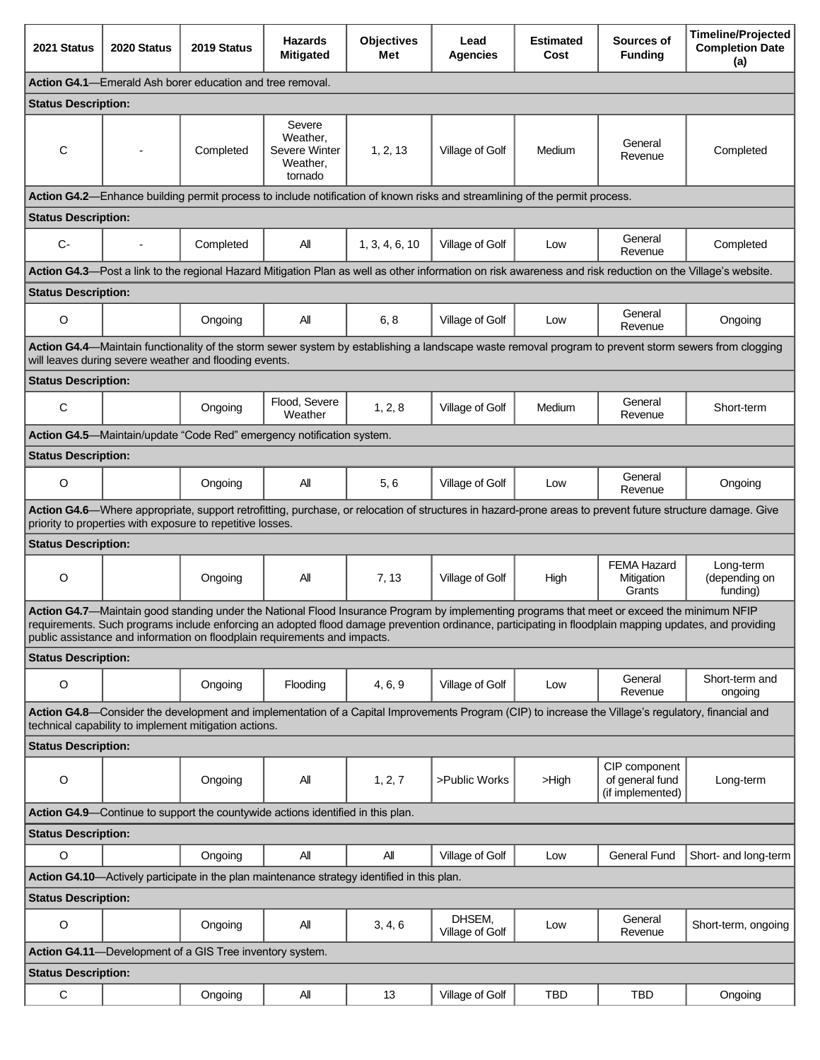| 2021 Status                                                                                                                                                                                                                                                                                                                                                                        | 2020 Status | 2019 Status                                              | <b>Hazards</b><br><b>Mitigated</b>                                                          | <b>Objectives</b><br>Met | Lead<br><b>Agencies</b>   | <b>Estimated</b><br>Cost | Sources of<br><b>Funding</b>                                                                                                                               | <b>Timeline/Projected</b><br><b>Completion Date</b><br>(a) |  |  |  |  |
|------------------------------------------------------------------------------------------------------------------------------------------------------------------------------------------------------------------------------------------------------------------------------------------------------------------------------------------------------------------------------------|-------------|----------------------------------------------------------|---------------------------------------------------------------------------------------------|--------------------------|---------------------------|--------------------------|------------------------------------------------------------------------------------------------------------------------------------------------------------|------------------------------------------------------------|--|--|--|--|
| Action G4.1-Emerald Ash borer education and tree removal.                                                                                                                                                                                                                                                                                                                          |             |                                                          |                                                                                             |                          |                           |                          |                                                                                                                                                            |                                                            |  |  |  |  |
| <b>Status Description:</b>                                                                                                                                                                                                                                                                                                                                                         |             |                                                          |                                                                                             |                          |                           |                          |                                                                                                                                                            |                                                            |  |  |  |  |
| C                                                                                                                                                                                                                                                                                                                                                                                  |             | Completed                                                | Severe<br>Weather,<br>Severe Winter<br>Weather,<br>tornado                                  | 1, 2, 13                 | Village of Golf           | Medium                   | General<br>Revenue                                                                                                                                         | Completed                                                  |  |  |  |  |
| Action G4.2-Enhance building permit process to include notification of known risks and streamlining of the permit process.                                                                                                                                                                                                                                                         |             |                                                          |                                                                                             |                          |                           |                          |                                                                                                                                                            |                                                            |  |  |  |  |
| <b>Status Description:</b>                                                                                                                                                                                                                                                                                                                                                         |             |                                                          |                                                                                             |                          |                           |                          |                                                                                                                                                            |                                                            |  |  |  |  |
| $C -$                                                                                                                                                                                                                                                                                                                                                                              |             | Completed                                                | All                                                                                         | 1, 3, 4, 6, 10           | Village of Golf           | Low                      | General<br>Revenue                                                                                                                                         | Completed                                                  |  |  |  |  |
|                                                                                                                                                                                                                                                                                                                                                                                    |             |                                                          |                                                                                             |                          |                           |                          | Action G4.3-Post a link to the regional Hazard Mitigation Plan as well as other information on risk awareness and risk reduction on the Village's website. |                                                            |  |  |  |  |
| <b>Status Description:</b>                                                                                                                                                                                                                                                                                                                                                         |             |                                                          |                                                                                             |                          |                           |                          |                                                                                                                                                            |                                                            |  |  |  |  |
| $\circ$                                                                                                                                                                                                                                                                                                                                                                            |             | Ongoing                                                  | All                                                                                         | 6, 8                     | Village of Golf           | Low                      | General<br>Revenue                                                                                                                                         | Ongoing                                                    |  |  |  |  |
| Action G4.4—Maintain functionality of the storm sewer system by establishing a landscape waste removal program to prevent storm sewers from clogging<br>will leaves during severe weather and flooding events.                                                                                                                                                                     |             |                                                          |                                                                                             |                          |                           |                          |                                                                                                                                                            |                                                            |  |  |  |  |
| <b>Status Description:</b>                                                                                                                                                                                                                                                                                                                                                         |             |                                                          |                                                                                             |                          |                           |                          |                                                                                                                                                            |                                                            |  |  |  |  |
| $\mathbf C$                                                                                                                                                                                                                                                                                                                                                                        |             | Ongoing                                                  | Flood, Severe<br>Weather                                                                    | 1, 2, 8                  | Village of Golf           | Medium                   | General<br>Revenue                                                                                                                                         | Short-term                                                 |  |  |  |  |
|                                                                                                                                                                                                                                                                                                                                                                                    |             |                                                          | Action G4.5-Maintain/update "Code Red" emergency notification system.                       |                          |                           |                          |                                                                                                                                                            |                                                            |  |  |  |  |
| <b>Status Description:</b>                                                                                                                                                                                                                                                                                                                                                         |             |                                                          |                                                                                             |                          |                           |                          |                                                                                                                                                            |                                                            |  |  |  |  |
| O                                                                                                                                                                                                                                                                                                                                                                                  |             | Ongoing                                                  | All                                                                                         | 5, 6                     | Village of Golf           | Low                      | General<br>Revenue                                                                                                                                         | Ongoing                                                    |  |  |  |  |
| Action G4.6-Where appropriate, support retrofitting, purchase, or relocation of structures in hazard-prone areas to prevent future structure damage. Give<br>priority to properties with exposure to repetitive losses.                                                                                                                                                            |             |                                                          |                                                                                             |                          |                           |                          |                                                                                                                                                            |                                                            |  |  |  |  |
| <b>Status Description:</b>                                                                                                                                                                                                                                                                                                                                                         |             |                                                          |                                                                                             |                          |                           |                          |                                                                                                                                                            |                                                            |  |  |  |  |
| $\circ$                                                                                                                                                                                                                                                                                                                                                                            |             | Ongoing                                                  | All                                                                                         | 7, 13                    | Village of Golf           | High                     | <b>FEMA Hazard</b><br>Mitigation<br>Grants                                                                                                                 | Long-term<br>(depending on<br>funding)                     |  |  |  |  |
| Action G4.7-Maintain good standing under the National Flood Insurance Program by implementing programs that meet or exceed the minimum NFIP<br>requirements. Such programs include enforcing an adopted flood damage prevention ordinance, participating in floodplain mapping updates, and providing<br>public assistance and information on floodplain requirements and impacts. |             |                                                          |                                                                                             |                          |                           |                          |                                                                                                                                                            |                                                            |  |  |  |  |
| <b>Status Description:</b>                                                                                                                                                                                                                                                                                                                                                         |             |                                                          |                                                                                             |                          |                           |                          |                                                                                                                                                            |                                                            |  |  |  |  |
| $\circ$                                                                                                                                                                                                                                                                                                                                                                            |             | Ongoing                                                  | Flooding                                                                                    | 4, 6, 9                  | Village of Golf           | Low                      | General<br>Revenue                                                                                                                                         | Short-term and<br>ongoing                                  |  |  |  |  |
|                                                                                                                                                                                                                                                                                                                                                                                    |             |                                                          |                                                                                             |                          |                           |                          | Action G4.8—Consider the development and implementation of a Capital Improvements Program (CIP) to increase the Village's regulatory, financial and        |                                                            |  |  |  |  |
|                                                                                                                                                                                                                                                                                                                                                                                    |             | technical capability to implement mitigation actions.    |                                                                                             |                          |                           |                          |                                                                                                                                                            |                                                            |  |  |  |  |
| <b>Status Description:</b>                                                                                                                                                                                                                                                                                                                                                         |             |                                                          |                                                                                             |                          |                           |                          |                                                                                                                                                            |                                                            |  |  |  |  |
| $\circ$                                                                                                                                                                                                                                                                                                                                                                            |             | Ongoing                                                  | All                                                                                         | 1, 2, 7                  | >Public Works             | >High                    | CIP component<br>of general fund<br>(if implemented)                                                                                                       | Long-term                                                  |  |  |  |  |
|                                                                                                                                                                                                                                                                                                                                                                                    |             |                                                          | Action G4.9-Continue to support the countywide actions identified in this plan.             |                          |                           |                          |                                                                                                                                                            |                                                            |  |  |  |  |
| <b>Status Description:</b>                                                                                                                                                                                                                                                                                                                                                         |             |                                                          |                                                                                             |                          |                           |                          |                                                                                                                                                            |                                                            |  |  |  |  |
| O                                                                                                                                                                                                                                                                                                                                                                                  |             | Ongoing                                                  | All                                                                                         | All                      | Village of Golf           | Low                      | <b>General Fund</b>                                                                                                                                        | Short- and long-term                                       |  |  |  |  |
|                                                                                                                                                                                                                                                                                                                                                                                    |             |                                                          | Action G4.10-Actively participate in the plan maintenance strategy identified in this plan. |                          |                           |                          |                                                                                                                                                            |                                                            |  |  |  |  |
| <b>Status Description:</b>                                                                                                                                                                                                                                                                                                                                                         |             |                                                          |                                                                                             |                          |                           |                          |                                                                                                                                                            |                                                            |  |  |  |  |
| $\circ$                                                                                                                                                                                                                                                                                                                                                                            |             | Ongoing                                                  | All                                                                                         | 3, 4, 6                  | DHSEM,<br>Village of Golf | Low                      | General<br>Revenue                                                                                                                                         | Short-term, ongoing                                        |  |  |  |  |
|                                                                                                                                                                                                                                                                                                                                                                                    |             | Action G4.11-Development of a GIS Tree inventory system. |                                                                                             |                          |                           |                          |                                                                                                                                                            |                                                            |  |  |  |  |
| <b>Status Description:</b>                                                                                                                                                                                                                                                                                                                                                         |             |                                                          |                                                                                             |                          |                           |                          |                                                                                                                                                            |                                                            |  |  |  |  |
| С                                                                                                                                                                                                                                                                                                                                                                                  |             | Ongoing                                                  | All                                                                                         | 13                       | Village of Golf           | <b>TBD</b>               | <b>TBD</b>                                                                                                                                                 | Ongoing                                                    |  |  |  |  |